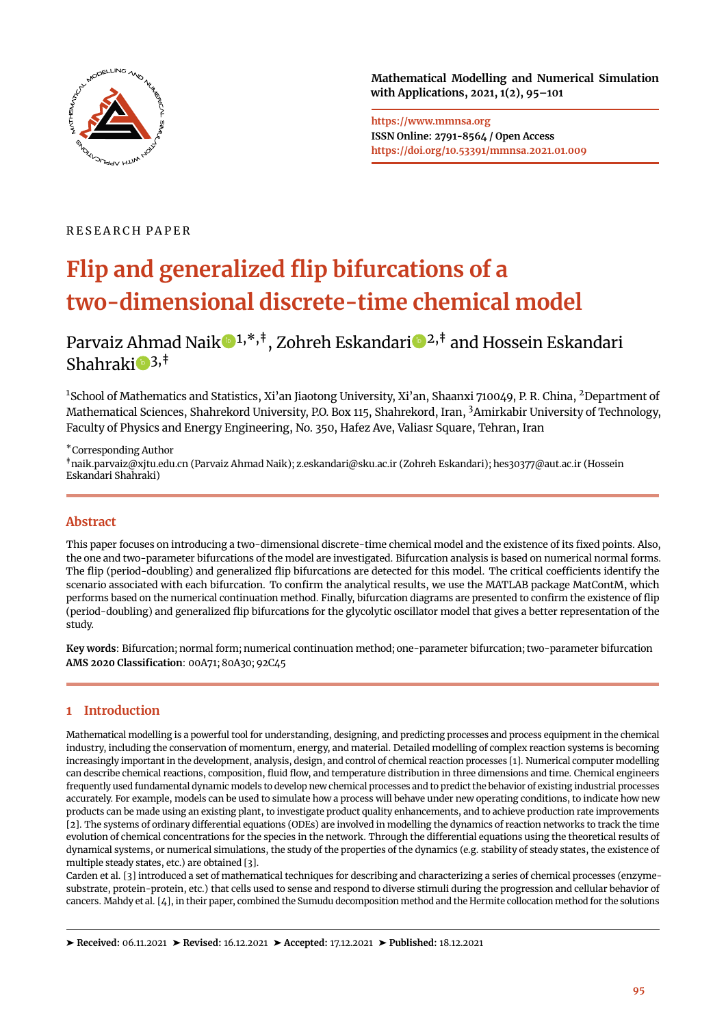

**Mathematical Modelling and Numerical Simulation with Applications, 2021, 1(2), 95[–101](#page-6-0)**

**https://www.mmnsa.org ISSN Online: 2791-8564 / Open Access https://doi.org/10.53391/mmnsa.2021.01.009**

## R E S E A R C H P A P E R

# **Flip and generalized flip bifurcations of a two-dimensional discrete-time chemical model**

## Parvaiz Ahmad Nai[k](https://orcid.org/0000-0003-4316-7508) $\bigcirc^{1,*},^{\dagger}$ , Zohreh Eskandari  $\bigcirc^{2,\dagger}$  and Hossein Eskandari Shahrak[i](https://orcid.org/0000-0003-0606-7276) $\bullet$  3,<sup>‡</sup>

<sup>1</sup>School of Mathematics and Statistics, Xi'an Jiaotong University, Xi'an, Shaanxi 710049, P. R. China, <sup>2</sup>Department of Mathematical Sciences, Shahrekord University, P.O. Box 115, Shahrekord, Iran, <sup>3</sup>Amirkabir University of Technology, Faculty of Physics and Energy Engineering, No. 350, Hafez Ave, Valiasr Square, Tehran, Iran

\*Corresponding Author

‡naik.parvaiz@xjtu.edu.cn (Parvaiz Ahmad Naik); z.eskandari@sku.ac.ir (Zohreh Eskandari); hes30377@aut.ac.ir (Hossein Eskandari Shahraki)

## **Abstract**

This paper focuses on introducing a two-dimensional discrete-time chemical model and the existence of its fixed points. Also, the one and two-parameter bifurcations of the model are investigated. Bifurcation analysis is based on numerical normal forms. The flip (period-doubling) and generalized flip bifurcations are detected for this model. The critical coefficients identify the scenario associated with each bifurcation. To confirm the analytical results, we use the MATLAB package MatContM, which performs based on the numerical continuation method. Finally, bifurcation diagrams are presented to confirm the existence of flip (period-doubling) and generalized flip bifurcations for the glycolytic oscillator model that gives a better representation of the study.

**Key words**: Bifurcation; normal form; numerical continuation method; one-parameter bifurcation; two-parameter bifurcation **AMS 2020 Classification**: 00A71; 80A30; 92C45

## <span id="page-0-0"></span>**1 Introduction**

Mathematical modelling is a powerful tool for understanding, designing, and predicting processes and process equipment in the chemical industry, including the conservation of momentum, energy, and material. Detailed modelling of complex reaction systems is becoming increasingly important in the development, analysis, design, and control of chemical reaction processes [\[1\]](#page-5-0). Numerical computer modelling can describe chemical reactions, composition, fluid flow, and temperature distribution in three dimensions and time. Chemical engineers frequently used fundamental dynamic models to develop new chemical processes and to predict the behavior of existing industrial processes accurately. For example, models can be used to simulate how a process will behave under new operating conditions, to indicate how new products can be made using an existing plant, to investigate product quality enhancements, and to achieve production rate improvements [\[2\]](#page-5-1). The systems of ordinary differential equations (ODEs) are involved in modelling the dynamics of reaction networks to track the time evolution of chemical concentrations for the species in the network. Through the differential equations using the theoretical results of dynamical systems, or numerical simulations, the study of the properties of the dynamics (e.g. stability of steady states, the existence of multiple steady states, etc.) are obtained [\[3\]](#page-5-2).

Carden et al. [\[3\]](#page-5-2) introduced a set of mathematical techniques for describing and characterizing a series of chemical processes (enzymesubstrate, protein-protein, etc.) that cells used to sense and respond to diverse stimuli during the progression and cellular behavior of cancers. Mahdy et al. [\[4\]](#page-5-3), in their paper, combined the Sumudu decomposition method and the Hermite collocation method for the solutions

➤ **Received:** 06.11.2021 ➤ **Revised:** 16.12.2021 ➤ **Accepted:** 17.12.2021 ➤ **Published:** 18.12.2021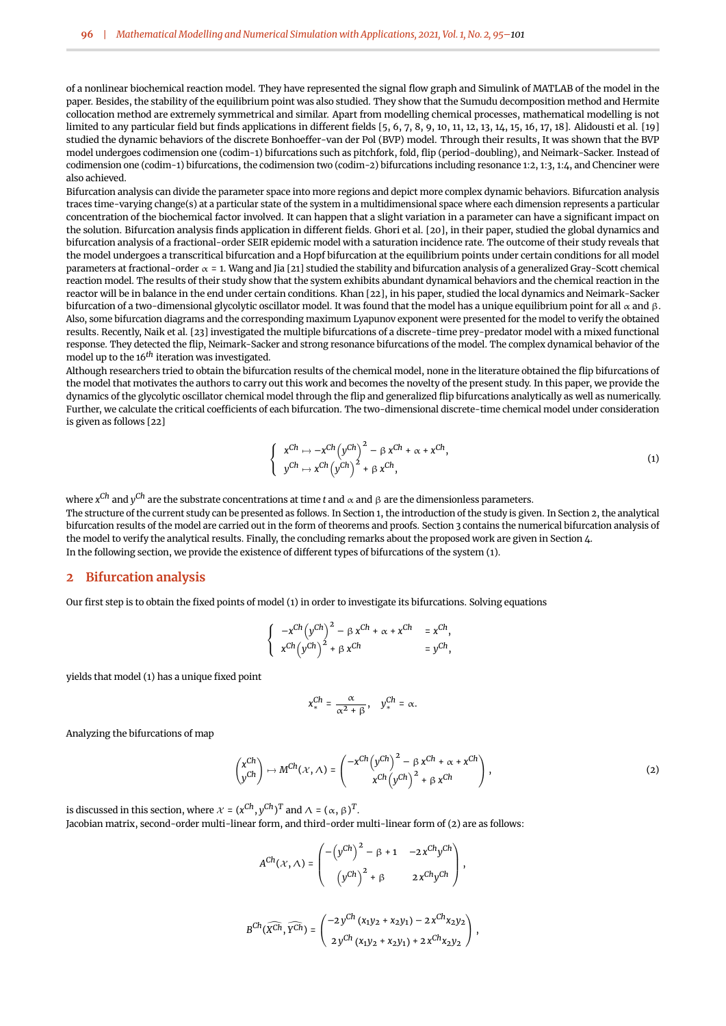of a nonlinear biochemical reaction model. They have represented the signal flow graph and Simulink of MATLAB of the model in the paper. Besides, the stability of the equilibrium point was also studied. They show that the Sumudu decomposition method and Hermite collocation method are extremely symmetrical and similar. Apart from modelling chemical processes, mathematical modelling is not limited to any particular field but finds applications in different fields [\[5,](#page-5-4) [6,](#page-5-5) [7,](#page-5-6) [8,](#page-5-7) [9,](#page-5-8) [10,](#page-5-9) [11,](#page-5-10) [12,](#page-5-11) [13,](#page-5-12) [14,](#page-5-13) [15,](#page-5-14) [16,](#page-5-15) [17,](#page-5-16) [18\]](#page-5-17). Alidousti et al. [\[19\]](#page-5-18) studied the dynamic behaviors of the discrete Bonhoeffer-van der Pol (BVP) model. Through their results, It was shown that the BVP model undergoes codimension one (codim-1) bifurcations such as pitchfork, fold, flip (period-doubling), and Neimark-Sacker. Instead of codimension one (codim-1) bifurcations, the codimension two (codim-2) bifurcations including resonance 1:2, 1:3, 1:4, and Chenciner were also achieved.

Bifurcation analysis can divide the parameter space into more regions and depict more complex dynamic behaviors. Bifurcation analysis traces time-varying change(s) at a particular state of the system in a multidimensional space where each dimension represents a particular concentration of the biochemical factor involved. It can happen that a slight variation in a parameter can have a significant impact on the solution. Bifurcation analysis finds application in different fields. Ghori et al. [\[20\]](#page-6-1), in their paper, studied the global dynamics and bifurcation analysis of a fractional-order SEIR epidemic model with a saturation incidence rate. The outcome of their study reveals that the model undergoes a transcritical bifurcation and a Hopf bifurcation at the equilibrium points under certain conditions for all model parameters at fractional-order  $\alpha = 1$ . Wang and Jia [\[21\]](#page-6-2) studied the stability and bifurcation analysis of a generalized Gray-Scott chemical reaction model. The results of their study show that the system exhibits abundant dynamical behaviors and the chemical reaction in the reactor will be in balance in the end under certain conditions. Khan [\[22\]](#page-6-3), in his paper, studied the local dynamics and Neimark-Sacker bifurcation of a two-dimensional glycolytic oscillator model. It was found that the model has a unique equilibrium point for all  $\alpha$  and β. Also, some bifurcation diagrams and the corresponding maximum Lyapunov exponent were presented for the model to verify the obtained results. Recently, Naik et al. [\[23\]](#page-6-4) investigated the multiple bifurcations of a discrete-time prey-predator model with a mixed functional response. They detected the flip, Neimark-Sacker and strong resonance bifurcations of the model. The complex dynamical behavior of the model up to the 16*th* iteration was investigated.

Although researchers tried to obtain the bifurcation results of the chemical model, none in the literature obtained the flip bifurcations of the model that motivates the authors to carry out this work and becomes the novelty of the present study. In this paper, we provide the dynamics of the glycolytic oscillator chemical model through the flip and generalized flip bifurcations analytically as well as numerically. Further, we calculate the critical coefficients of each bifurcation. The two-dimensional discrete-time chemical model under consideration is given as follows [\[22\]](#page-6-3)

<span id="page-1-1"></span>
$$
\begin{cases}\n x^{Ch} \mapsto -x^{Ch} (y^{Ch})^2 - \beta x^{Ch} + \alpha + x^{Ch}, \\
y^{Ch} \mapsto x^{Ch} (y^{Ch})^2 + \beta x^{Ch},\n\end{cases}
$$
\n(1)

where *x Ch* and *y Ch* are the substrate concentrations at time *t* and α and β are the dimensionless parameters.

The structure of the current study can be presented as follows. In Section [1,](#page-0-0) the introduction of the study is given. In Section [2,](#page-1-0) the analytical bifurcation results of the model are carried out in the form of theorems and proofs. Section [3](#page-3-0) contains the numerical bifurcation analysis of the model to verify the analytical results. Finally, the concluding remarks about the proposed work are given in Section [4.](#page-4-0) In the following section, we provide the existence of different types of bifurcations of the system [\(1\)](#page-1-1).

#### <span id="page-1-0"></span>**2 Bifurcation analysis**

Our first step is to obtain the fixed points of model [\(1\)](#page-1-1) in order to investigate its bifurcations. Solving equations

$$
\left\{\begin{array}{ll} -x^{Ch} \left(y^{Ch}\right)^2 - \beta \, x^{Ch} + \alpha + x^{Ch} & = x^{Ch}, \\ x^{Ch} \left(y^{Ch}\right)^2 + \beta \, x^{Ch} & = y^{Ch}, \end{array}\right.
$$

yields that model [\(1\)](#page-1-1) has a unique fixed point

<span id="page-1-2"></span>
$$
x_*^{Ch} = \frac{\alpha}{\alpha^2 + \beta}, \quad y_*^{Ch} = \alpha.
$$

Analyzing the bifurcations of map

$$
\begin{pmatrix} x^{Ch} \\ y^{Ch} \end{pmatrix} \mapsto M^{Ch}(x,\Lambda) = \begin{pmatrix} -x^{Ch} \left( y^{Ch} \right)^2 - \beta x^{Ch} + \alpha + x^{Ch} \\ x^{Ch} \left( y^{Ch} \right)^2 + \beta x^{Ch} \end{pmatrix},
$$
\n(2)

is discussed in this section, where  $\mathcal{X} = (x^{Ch}, y^{Ch})^T$  and  $\Lambda = (\alpha, \beta)^T$ .

Jacobian matrix, second-order multi-linear form, and third-order multi-linear form of [\(2\)](#page-1-2) are as follows:

 $\mathcal{L}$ 

$$
A^{Ch}(\mathcal{X}, \Lambda) = \begin{pmatrix} -\left(y^{Ch}\right)^2 - \beta + 1 & -2x^{Ch}y^{Ch} \\ y^{Ch}\right)^2 + \beta & 2x^{Ch}y^{Ch} \end{pmatrix},
$$
  

$$
B^{Ch}(\widehat{X^{Ch}}, \widehat{Y^{Ch}}) = \begin{pmatrix} -2y^{Ch}(x_1y_2 + x_2y_1) - 2x^{Ch}x_2y_2 \\ y^{Ch}(x_1y_2 + x_2y_1) - 2x^{Ch}x_2y_2 \end{pmatrix},
$$

 $2y^{Ch}(x_1y_2 + x_2y_1) + 2x^{Ch}x_2y_2$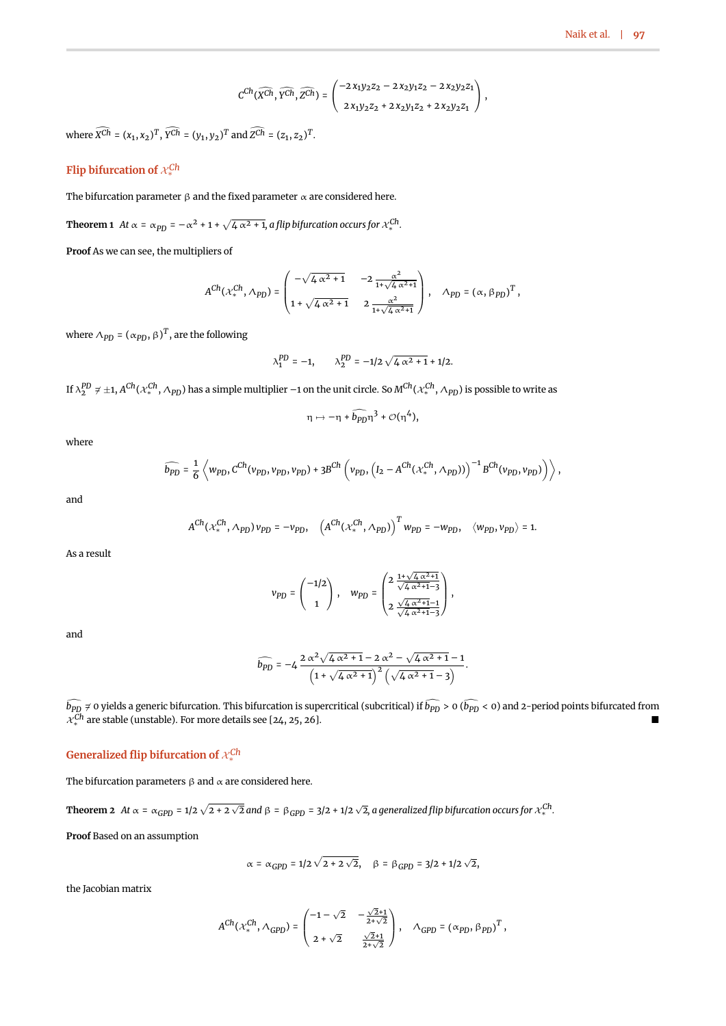$$
C^{Ch}(\widehat{XCh},\widehat{Y^{Ch}},\widehat{Z^{Ch}})=\begin{pmatrix} -2x_1y_2z_2-2x_2y_1z_2-2x_2y_2z_1\\ 2x_1y_2z_2+2x_2y_1z_2+2x_2y_2z_1 \end{pmatrix},
$$

where  $X^{Ch} = (x_1, x_2)^T$ ,  $Y^{Ch} = (y_1, y_2)^T$  and  $Z^{Ch} = (z_1, z_2)^T$ .

## **Flip bifurcation of** X*Ch* ∗

The bifurcation parameter  $\beta$  and the fixed parameter  $\alpha$  are considered here.

**Theorem 1** At  $\alpha = \alpha_{PD} = -\alpha^2 + 1 + \sqrt{4 \alpha^2 + 1}$ , a flip bifurcation occurs for  $\chi_*^{Ch}$ .

**Proof** As we can see, the multipliers of

$$
A^{Ch}(\mathcal{X}_{*}^{Ch}, \Lambda_{PD}) = \begin{pmatrix} -\sqrt{4\alpha^{2}+1} & -2\frac{\alpha^{2}}{1+\sqrt{4\alpha^{2}+1}} \\ 1+\sqrt{4\alpha^{2}+1} & 2\frac{\alpha^{2}}{1+\sqrt{4\alpha^{2}+1}} \end{pmatrix}, \quad \Lambda_{PD} = (\alpha, \beta_{PD})^{T},
$$

where  $\Lambda_{PD}$  =  $(\alpha_{PD}, \beta)^T$ , are the following

$$
\lambda_1^{PD} = -1, \qquad \lambda_2^{PD} = -1/2 \sqrt{4 \alpha^2 + 1} + 1/2.
$$

If  $\lambda_2^{PD}\neq\pm1,$   $A^{Ch}(\chi_*^{Ch},\Lambda_{PD})$  has a simple multiplier –1 on the unit circle. So  $M^{Ch}(\chi_*^{Ch},\Lambda_{PD})$  is possible to write as

$$
\eta \mapsto -\eta + \widehat{b_{PD}} \eta^3 + \mathcal{O}(\eta^4),
$$

where

$$
\widehat{b_{PD}} = \frac{1}{6} \left\langle w_{PD}, C^{Ch}(v_{PD}, v_{PD}, v_{PD}) + 3B^{Ch} \left( v_{PD}, \left( I_2 - A^{Ch}(\mathcal{X}_*^{Ch}, \Lambda_{PD}) \right) \right)^{-1} B^{Ch}(v_{PD}, v_{PD}) \right) \right\rangle,
$$

and

$$
A^{Ch}(\mathcal{X}_*^{Ch},\Lambda_{PD})\nu_{PD}=-\nu_{PD},\quad \left(A^{Ch}(\mathcal{X}_*^{Ch},\Lambda_{PD})\right)^Tw_{PD}=-w_{PD},\quad \langle w_{PD},\nu_{PD}\rangle=1.
$$

As a result

$$
v_{PD}=\begin{pmatrix} -1/2 \\ 1 \end{pmatrix}, \quad w_{PD}=\begin{pmatrix} 2\;\frac{1+\sqrt{\mathstrut 4\;\alpha^2+1}}{\sqrt{\mathstrut 4\;\alpha^2+1}-3} \\ 2\;\frac{\sqrt{\mathstrut 4\;\alpha^2+1}-1}{\sqrt{\mathstrut 4\;\alpha^2+1}-3} \end{pmatrix},
$$

and

$$
\widehat{b_{PD}} = -4 \frac{2 \alpha^2 \sqrt{4 \alpha^2 + 1} - 2 \alpha^2 - \sqrt{4 \alpha^2 + 1} - 1}{\left(1 + \sqrt{4 \alpha^2 + 1}\right)^2 \left(\sqrt{4 \alpha^2 + 1} - 3\right)}.
$$

 $b_{PD}$   $\neq$  0 yields a generic bifurcation. This bifurcation is supercritical (subcritical) if  $b_{PD}$  > 0 ( $b_{PD}$  < 0) and 2-period points bifurcated from  $\mathcal{X}_*^{Ch}$  are stable (unstable). For more details see [\[24,](#page-6-5) [25,](#page-6-6) [26\]](#page-6-7).

## **Generalized flip bifurcation of** X*Ch* ∗

The bifurcation parameters  $\beta$  and  $\alpha$  are considered here.

**Theorem 2** At  $\alpha$  =  $\alpha_{GPD}$  = 1/2  $\sqrt{2 + 2\sqrt{2}}$  and  $\beta$  =  $\beta_{GPD}$  = 3/2 + 1/2  $\sqrt{2}$ , a generalized flip bifurcation occurs for  $\chi_*^{Ch}$  .

**Proof** Based on an assumption

$$
\alpha = \alpha_{GPD} = 1/2\,\sqrt{2+2\,\sqrt{2}}, \quad \beta = \beta_{GPD} = 3/2 + 1/2\,\sqrt{2},
$$

the Jacobian matrix

$$
A^{Ch}(\mathcal{X}^{Ch}_*, \Lambda_{GPD}) = \begin{pmatrix} -1-\sqrt{2} & -\frac{\sqrt{2}+1}{2+\sqrt{2}} \\[1mm] 2+\sqrt{2} & \frac{\sqrt{2}+1}{2+\sqrt{2}} \end{pmatrix}, \quad \Lambda_{GPD} = \left(\alpha_{PD}, \beta_{PD}\right)^T,
$$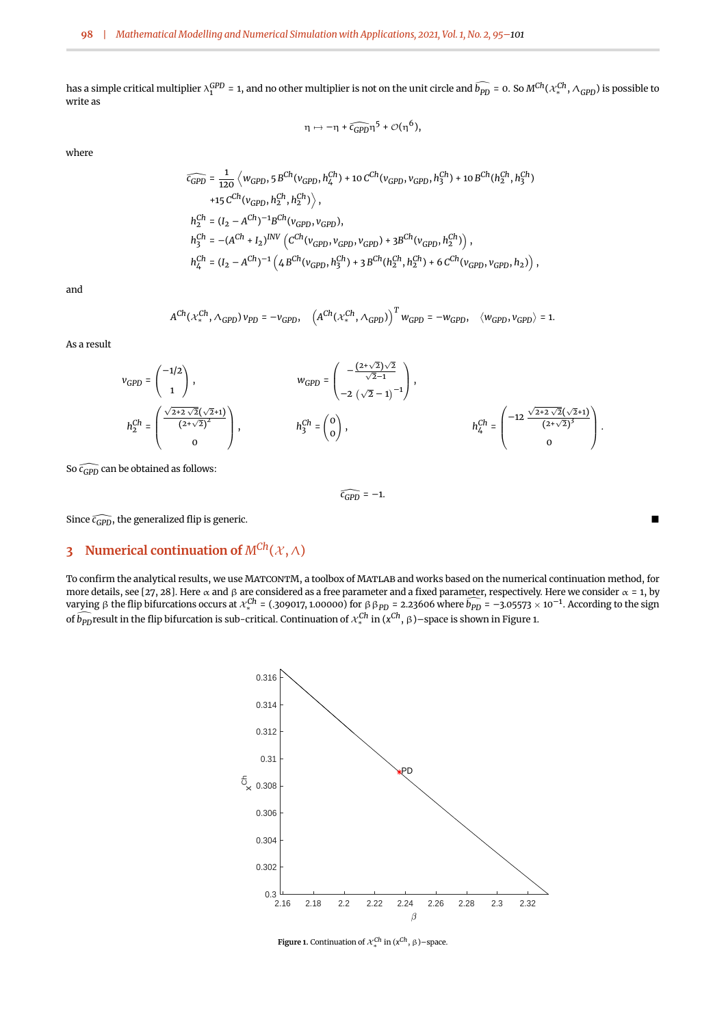has a simple critical multiplier  $\lambda_1^{GPD}$  = 1, and no other multiplier is not on the unit circle and  $\bar{b}_{PD}$  = 0. So  $M^{Ch}(\mathcal{X}_*^{Ch},\Lambda_{GPD})$  is possible to write as

$$
\eta \mapsto -\eta + \widehat{c_{GPD}} \eta^5 + \mathcal{O}(\eta^6),
$$

where

$$
\begin{aligned} \widehat{c_{GPD}} & = \frac{1}{120} \left\langle w_{GPD}, 5\, B^{Ch}(v_{GPD}, h_4^{Ch}) + 10\, C^{Ch}(v_{GPD}, v_{GPD}, h_3^{Ch}) + 10\, B^{Ch}(h_2^{Ch}, h_3^{Ch}) \right. \\ & \left. + 15\, C^{Ch}(v_{GPD}, h_2^{Ch}, h_2^{Ch}) \right\rangle, \\ h_2^{Ch} & = (I_2 - A^{Ch})^{-1} B^{Ch}(v_{GPD}, v_{GPD}), \\ h_3^{Ch} & = -(A^{Ch} + I_2)^{INV}\left( C^{Ch}(v_{GPD}, v_{GPD}) + 3B^{Ch}(v_{GPD}, h_2^{Ch}) \right), \\ h_4^{Ch} & = (I_2 - A^{Ch})^{-1}\left( 4\, B^{Ch}(v_{GPD}, h_3^{Ch}) + 3\, B^{Ch}(h_2^{Ch}, h_2^{Ch}) + 6\, C^{Ch}(v_{GPD}, v_{GPD}, h_2) \right), \end{aligned}
$$

and

$$
A^{Ch}(\mathcal{X}_*^{Ch},\Lambda_{GPD})\, v_{PD}=-v_{GPD},\quad \left(A^{Ch}(\mathcal{X}_*^{Ch},\Lambda_{GPD})\right)^Tw_{GPD}=-w_{GPD},\quad \langle w_{GPD},v_{GPD}\rangle=1.
$$

As a result

$$
v_{GPD} = \begin{pmatrix} -1/2 \\ 1 \end{pmatrix}, \qquad \qquad w_{GPD} = \begin{pmatrix} -\frac{(2+\sqrt{2})\sqrt{2}}{\sqrt{2}-1} \\ -2(\sqrt{2}-1)^{-1} \end{pmatrix}, \\ h_2^{Ch} = \begin{pmatrix} \frac{\sqrt{2+2}\sqrt{2}(\sqrt{2}+1)}{(2+\sqrt{2})^2} \\ 0 \end{pmatrix}, \qquad \qquad h_3^{Ch} = \begin{pmatrix} 0 \\ 0 \end{pmatrix}, \qquad \qquad h_4^{Ch} = \begin{pmatrix} -12\frac{\sqrt{2+2\sqrt{2}}(\sqrt{2}+1)}{(2+\sqrt{2})^3} \\ 0 \end{pmatrix}.
$$

So  $\widehat{c_{GPD}}$  can be obtained as follows:

 $\widehat{c_{GPD}} = -1$ .

Since  $\widehat{c_{GPD}}$ , the generalized flip is generic.

## <span id="page-3-0"></span>**3 Numerical continuation of**  $M^{Ch}(\mathcal{X}, \Lambda)$

<span id="page-3-1"></span>To confirm the analytical results, we use MatcontM, a toolbox of Matlab and works based on the numerical continuation method, for more details, see [\[27,](#page-6-8) [28\]](#page-6-9). Here α and β are considered as a free parameter and a fixed parameter, respectively. Here we consider  $\alpha$  = 1, by varying β the flip bifurcations occurs at  $x_*^{Ch}$  = (.309017, 1.00000) for ββ<sub>*PD</sub>* = 2.23606 where  $b_{PD}$  = −3.05573 × 10<sup>-1</sup>. According to the sign</sub> of  $\widehat{b_{PD}}$ result in the flip bifurcation is sub-critical. Continuation of  $x_*^{Ch}$  in  $(x^{Ch}, \beta)$ –space is shown in Figure [1.](#page-3-1)



**Figure 1.** Continuation of  $\mathcal{X}_{*}^{Ch}$  in  $(x^{Ch}, \beta)$ –space.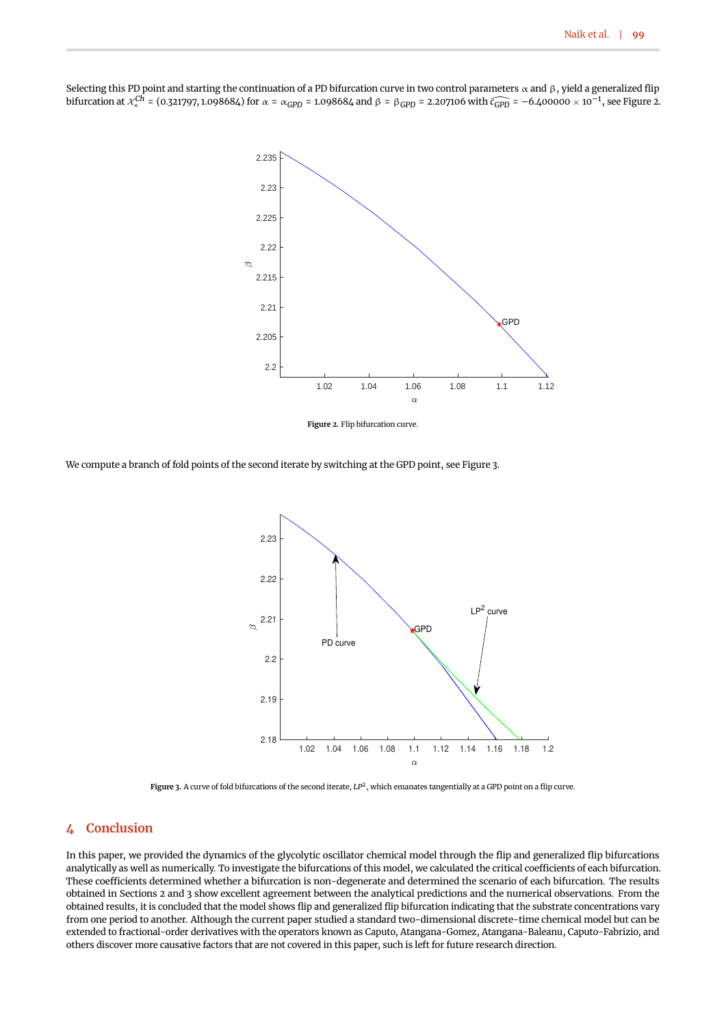

<span id="page-4-1"></span>Selecting this PD point and starting the continuation of a PD bifurcation curve in two control parameters  $\alpha$  and  $\beta$  , yield a generalized flip bifurcation at X *Ch* <sup>∗</sup> = (0.321797, 1.098684) for <sup>α</sup> <sup>=</sup> <sup>α</sup>*GPD* = 1.098684 and <sup>β</sup> <sup>=</sup> <sup>β</sup>*GPD* = 2.207106 with *<sup>c</sup>*[*GPD* = –6.400000 <sup>×</sup> <sup>10</sup>–1, see Figure [2.](#page-4-1)

**Figure 2.** Flip bifurcation curve.

<span id="page-4-2"></span>We compute a branch of fold points of the second iterate by switching at the GPD point, see Figure [3.](#page-4-2)



**Figure 3.** A curve of fold bifurcations of the second iterate, *LP*<sup>2</sup> , which emanates tangentially at a GPD point on a flip curve.

## <span id="page-4-0"></span>**4 Conclusion**

In this paper, we provided the dynamics of the glycolytic oscillator chemical model through the flip and generalized flip bifurcations analytically as well as numerically. To investigate the bifurcations of this model, we calculated the critical coefficients of each bifurcation. These coefficients determined whether a bifurcation is non-degenerate and determined the scenario of each bifurcation. The results obtained in Sections [2](#page-1-0) and [3](#page-3-0) show excellent agreement between the analytical predictions and the numerical observations. From the obtained results, it is concluded that the model shows flip and generalized flip bifurcation indicating that the substrate concentrations vary from one period to another. Although the current paper studied a standard two-dimensional discrete-time chemical model but can be extended to fractional-order derivatives with the operators known as Caputo, Atangana-Gomez, Atangana-Baleanu, Caputo-Fabrizio, and others discover more causative factors that are not covered in this paper, such is left for future research direction.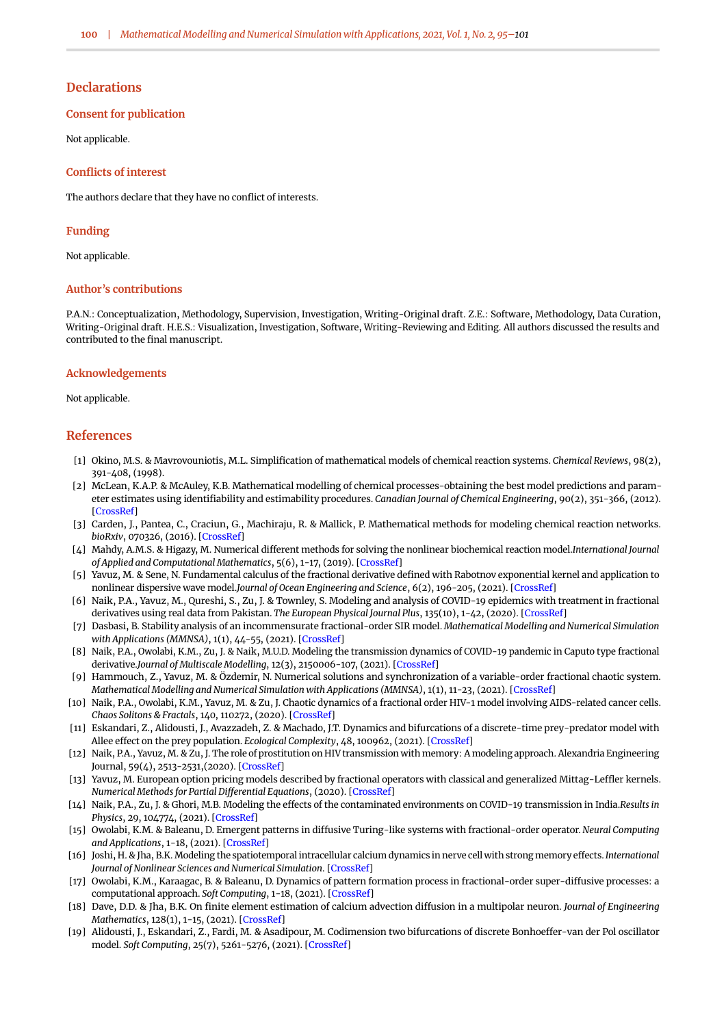#### **Declarations**

#### **Consent for publication**

Not applicable.

#### **Conflicts of interest**

The authors declare that they have no conflict of interests.

#### **Funding**

Not applicable.

#### **Author's contributions**

P.A.N.: Conceptualization, Methodology, Supervision, Investigation, Writing-Original draft. Z.E.: Software, Methodology, Data Curation, Writing-Original draft. H.E.S.: Visualization, Investigation, Software, Writing-Reviewing and Editing. All authors discussed the results and contributed to the final manuscript.

#### **Acknowledgements**

#### Not applicable.

#### **References**

- <span id="page-5-0"></span>[1] Okino, M.S. & Mavrovouniotis, M.L. Simplification of mathematical models of chemical reaction systems. *Chemical Reviews*, 98(2), 391-408, (1998).
- <span id="page-5-1"></span>[2] McLean, K.A.P. & McAuley, K.B. Mathematical modelling of chemical processes-obtaining the best model predictions and parameter estimates using identifiability and estimability procedures. *Canadian Journal of Chemical Engineering*, 90(2), 351-366, (2012). [\[CrossRef\]](https://doi.org/10.1002/cjce.20660)
- <span id="page-5-2"></span>[3] Carden, J., Pantea, C., Craciun, G., Machiraju, R. & Mallick, P. Mathematical methods for modeling chemical reaction networks. *bioRxiv*, 070326, (2016). [\[CrossRef\]](https://doi.org/10.1101/070326)
- <span id="page-5-3"></span>[4] Mahdy, A.M.S. & Higazy, M. Numerical different methods for solving the nonlinear biochemical reaction model.*International Journal of Applied and Computational Mathematics*, 5(6), 1-17, (2019). [\[CrossRef\]](https://doi.org/10.1007/s40819-019-0740-x)
- <span id="page-5-4"></span>[5] Yavuz, M. & Sene, N. Fundamental calculus of the fractional derivative defined with Rabotnov exponential kernel and application to nonlinear dispersive wave model.*Journal of Ocean Engineering and Science*, 6(2), 196-205, (2021). [\[CrossRef\]](https://doi.org/10.1016/j.joes.2020.10.004)
- <span id="page-5-5"></span>[6] Naik, P.A., Yavuz, M., Qureshi, S., Zu, J. & Townley, S. Modeling and analysis of COVID-19 epidemics with treatment in fractional derivatives using real data from Pakistan. *The European Physical Journal Plus*, 135(10), 1-42, (2020). [\[CrossRef\]](https://doi.org/10.1140/epjp/s13360-020-00819-5)
- <span id="page-5-6"></span>[7] Dasbasi, B. Stability analysis of an incommensurate fractional-order SIR model. *Mathematical Modelling and Numerical Simulation with Applications (MMNSA)*, 1(1), 44-55, (2021). [\[CrossRef\]](https://doi.org/10.53391/mmnsa.2021.01.005)
- <span id="page-5-7"></span>[8] Naik, P.A., Owolabi, K.M., Zu, J. & Naik, M.U.D. Modeling the transmission dynamics of COVID-19 pandemic in Caputo type fractional derivative.*Journal of Multiscale Modelling*, 12(3), 2150006-107, (2021). [\[CrossRef\]](https://doi.org/10.1142/S1756973721500062)
- <span id="page-5-8"></span>[9] Hammouch, Z., Yavuz, M. & Özdemir, N. Numerical solutions and synchronization of a variable-order fractional chaotic system. *Mathematical Modelling and Numerical Simulation with Applications (MMNSA)*, 1(1), 11-23, (2021). [\[CrossRef\]](https://doi.org/10.53391/mmnsa.2021.01.002)
- <span id="page-5-9"></span>[10] Naik, P.A., Owolabi, K.M., Yavuz, M. & Zu, J. Chaotic dynamics of a fractional order HIV-1 model involving AIDS-related cancer cells. *Chaos Solitons & Fractals*, 140, 110272, (2020). [\[CrossRef\]](https://doi.org/10.1016/j.chaos.2020.110272)
- <span id="page-5-10"></span>[11] Eskandari, Z., Alidousti, J., Avazzadeh, Z. & Machado, J.T. Dynamics and bifurcations of a discrete-time prey-predator model with Allee effect on the prey population. *Ecological Complexity*, 48, 100962, (2021). [\[CrossRef\]](https://doi.org/10.1016/j.ecocom.2021.100962)
- <span id="page-5-11"></span>[12] Naik, P.A., Yavuz, M. & Zu, J. The role of prostitution on HIV transmission with memory: A modeling approach. Alexandria Engineering Journal, 59(4), 2513-2531,(2020). [\[CrossRef\]](https://doi.org/10.1016/j.aej.2020.04.016)
- <span id="page-5-12"></span>[13] Yavuz, M. European option pricing models described by fractional operators with classical and generalized Mittag-Leffler kernels. *Numerical Methods for Partial Differential Equations*, (2020). [\[CrossRef\]](https://doi.org/10.1002/num.22645)
- <span id="page-5-13"></span>[14] Naik, P.A., Zu, J. & Ghori, M.B. Modeling the effects of the contaminated environments on COVID-19 transmission in India.*Results in Physics*, 29, 104774, (2021). [\[CrossRef\]](https://doi.org/10.1016/j.rinp.2021.104774)
- <span id="page-5-14"></span>[15] Owolabi, K.M. & Baleanu, D. Emergent patterns in diffusive Turing-like systems with fractional-order operator. *Neural Computing and Applications*, 1-18, (2021). [\[CrossRef\]](https://doi.org/10.1007/s00521-021-05917-8)
- <span id="page-5-15"></span>[16] Joshi, H. & Jha, B.K. Modeling the spatiotemporal intracellular calcium dynamics in nerve cell with strong memory effects. *International Journal of Nonlinear Sciences and Numerical Simulation*. [\[CrossRef\]](https://doi.org/10.1515/ijnsns-2020-0254)
- <span id="page-5-16"></span>[17] Owolabi, K.M., Karaagac, B. & Baleanu, D. Dynamics of pattern formation process in fractional-order super-diffusive processes: a computational approach. *Soft Computing*, 1-18, (2021). [\[CrossRef\]](https://doi.org/10.1007/s00500-021-05885-0)
- <span id="page-5-17"></span>[18] Dave, D.D. & Jha, B.K. On finite element estimation of calcium advection diffusion in a multipolar neuron. *Journal of Engineering Mathematics*, 128(1), 1-15, (2021). [\[CrossRef\]](https://doi.org/10.1007/s10665-021-10129-z)
- <span id="page-5-18"></span>[19] Alidousti, J., Eskandari, Z., Fardi, M. & Asadipour, M. Codimension two bifurcations of discrete Bonhoeffer-van der Pol oscillator model. *Soft Computing*, 25(7), 5261-5276, (2021). [\[CrossRef\]](https://doi.org/10.1007/s00500-020-05524-0)